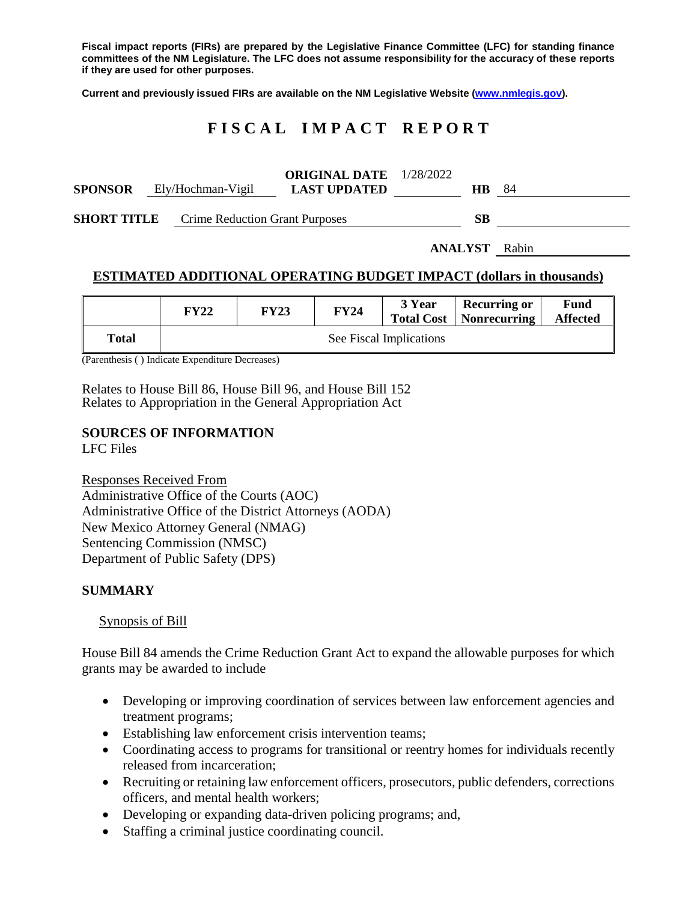**Fiscal impact reports (FIRs) are prepared by the Legislative Finance Committee (LFC) for standing finance committees of the NM Legislature. The LFC does not assume responsibility for the accuracy of these reports if they are used for other purposes.**

**Current and previously issued FIRs are available on the NM Legislative Website [\(www.nmlegis.gov\)](http://www.nmlegis.gov/).**

# **F I S C A L I M P A C T R E P O R T**

| <b>SPONSOR</b> | Ely/Hochman-Vigil                                 | <b>ORIGINAL DATE</b> $1/28/2022$<br><b>LAST UPDATED</b> | <b>HB</b> | -84                  |
|----------------|---------------------------------------------------|---------------------------------------------------------|-----------|----------------------|
|                | <b>SHORT TITLE</b> Crime Reduction Grant Purposes | <b>SB</b>                                               |           |                      |
|                |                                                   |                                                         |           | <b>ANALYST</b> Rabin |

## **ESTIMATED ADDITIONAL OPERATING BUDGET IMPACT (dollars in thousands)**

|       | FY22                    | <b>FY23</b> | <b>FY24</b> | 3 Year | <b>Recurring or</b><br><b>Total Cost</b>   Nonrecurring | Fund<br><b>Affected</b> |  |  |
|-------|-------------------------|-------------|-------------|--------|---------------------------------------------------------|-------------------------|--|--|
| Total | See Fiscal Implications |             |             |        |                                                         |                         |  |  |

(Parenthesis ( ) Indicate Expenditure Decreases)

Relates to House Bill 86, House Bill 96, and House Bill 152 Relates to Appropriation in the General Appropriation Act

## **SOURCES OF INFORMATION**

LFC Files

Responses Received From Administrative Office of the Courts (AOC) Administrative Office of the District Attorneys (AODA) New Mexico Attorney General (NMAG) Sentencing Commission (NMSC) Department of Public Safety (DPS)

#### **SUMMARY**

Synopsis of Bill

House Bill 84 amends the Crime Reduction Grant Act to expand the allowable purposes for which grants may be awarded to include

- Developing or improving coordination of services between law enforcement agencies and treatment programs;
- Establishing law enforcement crisis intervention teams;
- Coordinating access to programs for transitional or reentry homes for individuals recently released from incarceration;
- Recruiting or retaining law enforcement officers, prosecutors, public defenders, corrections officers, and mental health workers;
- Developing or expanding data-driven policing programs; and,
- Staffing a criminal justice coordinating council.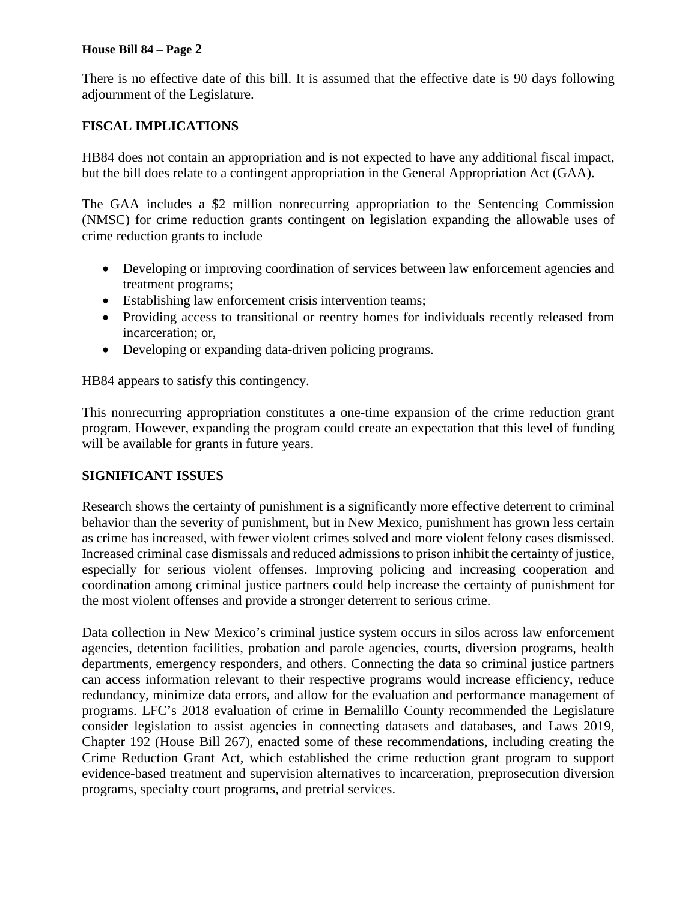## **House Bill 84 – Page 2**

There is no effective date of this bill. It is assumed that the effective date is 90 days following adjournment of the Legislature.

## **FISCAL IMPLICATIONS**

HB84 does not contain an appropriation and is not expected to have any additional fiscal impact, but the bill does relate to a contingent appropriation in the General Appropriation Act (GAA).

The GAA includes a \$2 million nonrecurring appropriation to the Sentencing Commission (NMSC) for crime reduction grants contingent on legislation expanding the allowable uses of crime reduction grants to include

- Developing or improving coordination of services between law enforcement agencies and treatment programs;
- Establishing law enforcement crisis intervention teams;
- Providing access to transitional or reentry homes for individuals recently released from incarceration; or,
- Developing or expanding data-driven policing programs.

HB84 appears to satisfy this contingency.

This nonrecurring appropriation constitutes a one-time expansion of the crime reduction grant program. However, expanding the program could create an expectation that this level of funding will be available for grants in future years.

## **SIGNIFICANT ISSUES**

Research shows the certainty of punishment is a significantly more effective deterrent to criminal behavior than the severity of punishment, but in New Mexico, punishment has grown less certain as crime has increased, with fewer violent crimes solved and more violent felony cases dismissed. Increased criminal case dismissals and reduced admissions to prison inhibit the certainty of justice, especially for serious violent offenses. Improving policing and increasing cooperation and coordination among criminal justice partners could help increase the certainty of punishment for the most violent offenses and provide a stronger deterrent to serious crime.

Data collection in New Mexico's criminal justice system occurs in silos across law enforcement agencies, detention facilities, probation and parole agencies, courts, diversion programs, health departments, emergency responders, and others. Connecting the data so criminal justice partners can access information relevant to their respective programs would increase efficiency, reduce redundancy, minimize data errors, and allow for the evaluation and performance management of programs. LFC's 2018 evaluation of crime in Bernalillo County recommended the Legislature consider legislation to assist agencies in connecting datasets and databases, and Laws 2019, Chapter 192 (House Bill 267), enacted some of these recommendations, including creating the Crime Reduction Grant Act, which established the crime reduction grant program to support evidence-based treatment and supervision alternatives to incarceration, preprosecution diversion programs, specialty court programs, and pretrial services.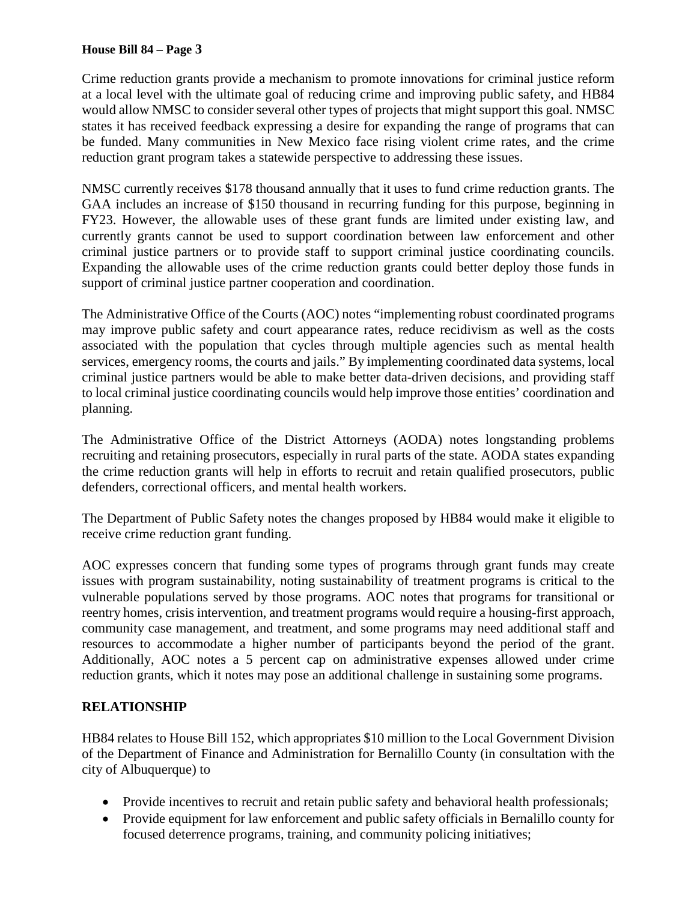## **House Bill 84 – Page 3**

Crime reduction grants provide a mechanism to promote innovations for criminal justice reform at a local level with the ultimate goal of reducing crime and improving public safety, and HB84 would allow NMSC to consider several other types of projects that might support this goal. NMSC states it has received feedback expressing a desire for expanding the range of programs that can be funded. Many communities in New Mexico face rising violent crime rates, and the crime reduction grant program takes a statewide perspective to addressing these issues.

NMSC currently receives \$178 thousand annually that it uses to fund crime reduction grants. The GAA includes an increase of \$150 thousand in recurring funding for this purpose, beginning in FY23. However, the allowable uses of these grant funds are limited under existing law, and currently grants cannot be used to support coordination between law enforcement and other criminal justice partners or to provide staff to support criminal justice coordinating councils. Expanding the allowable uses of the crime reduction grants could better deploy those funds in support of criminal justice partner cooperation and coordination.

The Administrative Office of the Courts (AOC) notes "implementing robust coordinated programs may improve public safety and court appearance rates, reduce recidivism as well as the costs associated with the population that cycles through multiple agencies such as mental health services, emergency rooms, the courts and jails." By implementing coordinated data systems, local criminal justice partners would be able to make better data-driven decisions, and providing staff to local criminal justice coordinating councils would help improve those entities' coordination and planning.

The Administrative Office of the District Attorneys (AODA) notes longstanding problems recruiting and retaining prosecutors, especially in rural parts of the state. AODA states expanding the crime reduction grants will help in efforts to recruit and retain qualified prosecutors, public defenders, correctional officers, and mental health workers.

The Department of Public Safety notes the changes proposed by HB84 would make it eligible to receive crime reduction grant funding.

AOC expresses concern that funding some types of programs through grant funds may create issues with program sustainability, noting sustainability of treatment programs is critical to the vulnerable populations served by those programs. AOC notes that programs for transitional or reentry homes, crisis intervention, and treatment programs would require a housing-first approach, community case management, and treatment, and some programs may need additional staff and resources to accommodate a higher number of participants beyond the period of the grant. Additionally, AOC notes a 5 percent cap on administrative expenses allowed under crime reduction grants, which it notes may pose an additional challenge in sustaining some programs.

## **RELATIONSHIP**

HB84 relates to House Bill 152, which appropriates \$10 million to the Local Government Division of the Department of Finance and Administration for Bernalillo County (in consultation with the city of Albuquerque) to

- Provide incentives to recruit and retain public safety and behavioral health professionals;
- Provide equipment for law enforcement and public safety officials in Bernalillo county for focused deterrence programs, training, and community policing initiatives;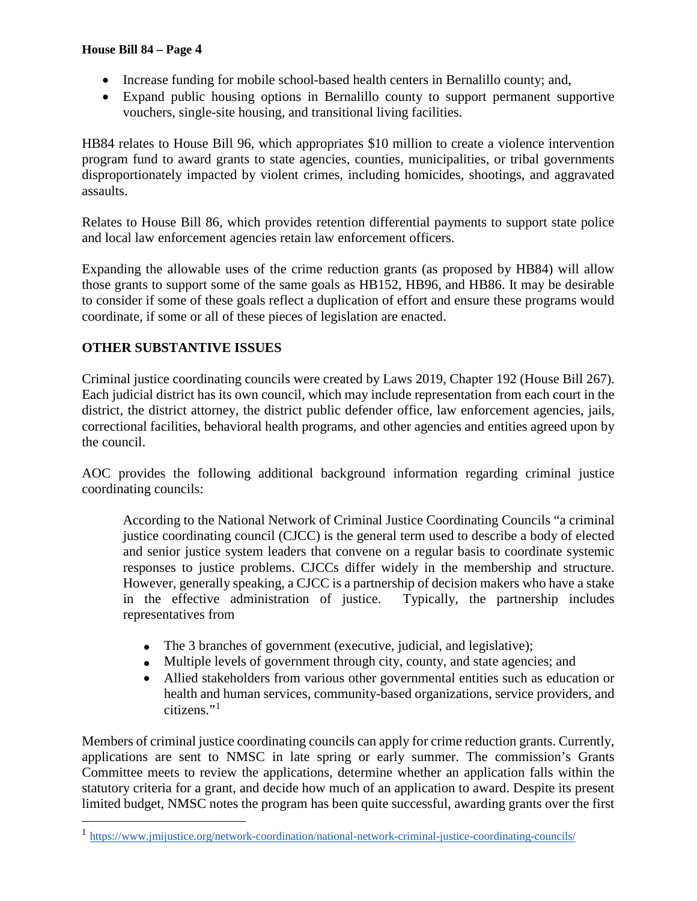- Increase funding for mobile school-based health centers in Bernalillo county; and,
- Expand public housing options in Bernalillo county to support permanent supportive vouchers, single-site housing, and transitional living facilities.

HB84 relates to House Bill 96, which appropriates \$10 million to create a violence intervention program fund to award grants to state agencies, counties, municipalities, or tribal governments disproportionately impacted by violent crimes, including homicides, shootings, and aggravated assaults.

Relates to House Bill 86, which provides retention differential payments to support state police and local law enforcement agencies retain law enforcement officers.

Expanding the allowable uses of the crime reduction grants (as proposed by HB84) will allow those grants to support some of the same goals as HB152, HB96, and HB86. It may be desirable to consider if some of these goals reflect a duplication of effort and ensure these programs would coordinate, if some or all of these pieces of legislation are enacted.

# **OTHER SUBSTANTIVE ISSUES**

Criminal justice coordinating councils were created by Laws 2019, Chapter 192 (House Bill 267). Each judicial district has its own council, which may include representation from each court in the district, the district attorney, the district public defender office, law enforcement agencies, jails, correctional facilities, behavioral health programs, and other agencies and entities agreed upon by the council.

AOC provides the following additional background information regarding criminal justice coordinating councils:

According to the National Network of Criminal Justice Coordinating Councils "a criminal justice coordinating council (CJCC) is the general term used to describe a body of elected and senior justice system leaders that convene on a regular basis to coordinate systemic responses to justice problems. CJCCs differ widely in the membership and structure. However, generally speaking, a CJCC is a partnership of decision makers who have a stake in the effective administration of justice. Typically, the partnership includes representatives from

- The 3 branches of government (executive, judicial, and legislative);
- Multiple levels of government through city, county, and state agencies; and
- Allied stakeholders from various other governmental entities such as education or health and human services, community-based organizations, service providers, and citizens."[1](#page-3-0)

Members of criminal justice coordinating councils can apply for crime reduction grants. Currently, applications are sent to NMSC in late spring or early summer. The commission's Grants Committee meets to review the applications, determine whether an application falls within the statutory criteria for a grant, and decide how much of an application to award. Despite its present limited budget, NMSC notes the program has been quite successful, awarding grants over the first

<span id="page-3-0"></span> <sup>1</sup> <https://www.jmijustice.org/network-coordination/national-network-criminal-justice-coordinating-councils/>